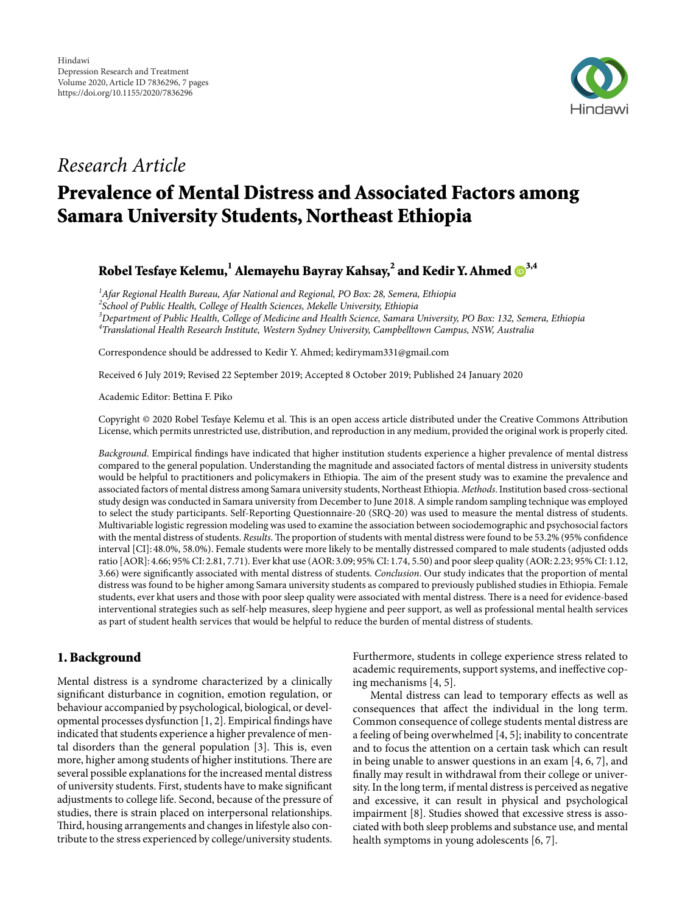

## *Research Article*

# Prevalence of Mental Distress and Associated Factors among Samara University Students, Northeast Ethiopia

Robel Tesfaye Kelemu, $^{\rm l}$  Alemayehu Bayray Kahsay, $^{\rm 2}$  and Kedir Y. Ahmed  $\mathrm{I\!D}^{3,4}$  $\mathrm{I\!D}^{3,4}$  $\mathrm{I\!D}^{3,4}$ 

*1 Afar Regional Health Bureau, Afar National and Regional, PO Box: 28, Semera, Ethiopia*

*2 School of Public Health, College of Health Sciences, Mekelle University, Ethiopia*

*3 Department of Public Health, College of Medicine and Health Science, Samara University, PO Box: 132, Semera, Ethiopia*

*4 Translational Health Research Institute, Western Sydney University, Campbelltown Campus, NSW, Australia*

Correspondence should be addressed to Kedir Y. Ahmed; kedirymam331@gmail.com

Received 6 July 2019; Revised 22 September 2019; Accepted 8 October 2019; Published 24 January 2020

Academic Editor: Bettina F. Piko

Copyright © 2020 Robel Tesfaye Kelemu et al. This is an open access article distributed under the [Creative Commons Attribution](https://creativecommons.org/licenses/by/4.0/) [License,](https://creativecommons.org/licenses/by/4.0/) which permits unrestricted use, distribution, and reproduction in any medium, provided the original work is properly cited.

*Background*. Empirical findings have indicated that higher institution students experience a higher prevalence of mental distress compared to the general population. Understanding the magnitude and associated factors of mental distress in university students would be helpful to practitioners and policymakers in Ethiopia. The aim of the present study was to examine the prevalence and associated factors of mental distress among Samara university students, Northeast Ethiopia. *Methods*. Institution based cross-sectional study design was conducted in Samara university from December to June 2018. A simple random sampling technique was employed to select the study participants. Self-Reporting Questionnaire-20 (SRQ-20) was used to measure the mental distress of students. Multivariable logistic regression modeling was used to examine the association between sociodemographic and psychosocial factors with the mental distress of students. *Results*. The proportion of students with mental distress were found to be 53.2% (95% confidence interval [CI]: 48.0%, 58.0%). Female students were more likely to be mentally distressed compared to male students (adjusted odds ratio [AOR]: 4.66; 95% CI: 2.81, 7.71). Ever khat use (AOR: 3.09; 95% CI: 1.74, 5.50) and poor sleep quality (AOR: 2.23; 95% CI: 1.12, 3.66) were significantly associated with mental distress of students. *Conclusion*. Our study indicates that the proportion of mental distress was found to be higher among Samara university students as compared to previously published studies in Ethiopia. Female students, ever khat users and those with poor sleep quality were associated with mental distress. There is a need for evidence-based interventional strategies such as self-help measures, sleep hygiene and peer support, as well as professional mental health services as part of student health services that would be helpful to reduce the burden of mental distress of students.

### 1. Background

Mental distress is a syndrome characterized by a clinically significant disturbance in cognition, emotion regulation, or behaviour accompanied by psychological, biological, or developmental processes dysfunction [\[1,](#page-5-0) [2](#page-5-1)]. Empirical findings have indicated that students experience a higher prevalence of men-tal disorders than the general population [[3](#page-5-2)]. This is, even more, higher among students of higher institutions. There are several possible explanations for the increased mental distress of university students. First, students have to make significant adjustments to college life. Second, because of the pressure of studies, there is strain placed on interpersonal relationships. Third, housing arrangements and changes in lifestyle also contribute to the stress experienced by college/university students.

Furthermore, students in college experience stress related to academic requirements, support systems, and ineffective coping mechanisms [[4](#page-5-3), [5\]](#page-5-4).

Mental distress can lead to temporary effects as well as consequences that affect the individual in the long term. Common consequence of college students mental distress are a feeling of being overwhelmed [\[4](#page-5-3), [5](#page-5-4)]; inability to concentrate and to focus the attention on a certain task which can result in being unable to answer questions in an exam [[4](#page-5-3), [6,](#page-5-5) [7](#page-5-6)], and finally may result in withdrawal from their college or university. In the long term, if mental distress is perceived as negative and excessive, it can result in physical and psychological impairment [\[8](#page-5-7)]. Studies showed that excessive stress is associated with both sleep problems and substance use, and mental health symptoms in young adolescents [[6](#page-5-5), [7\]](#page-5-6).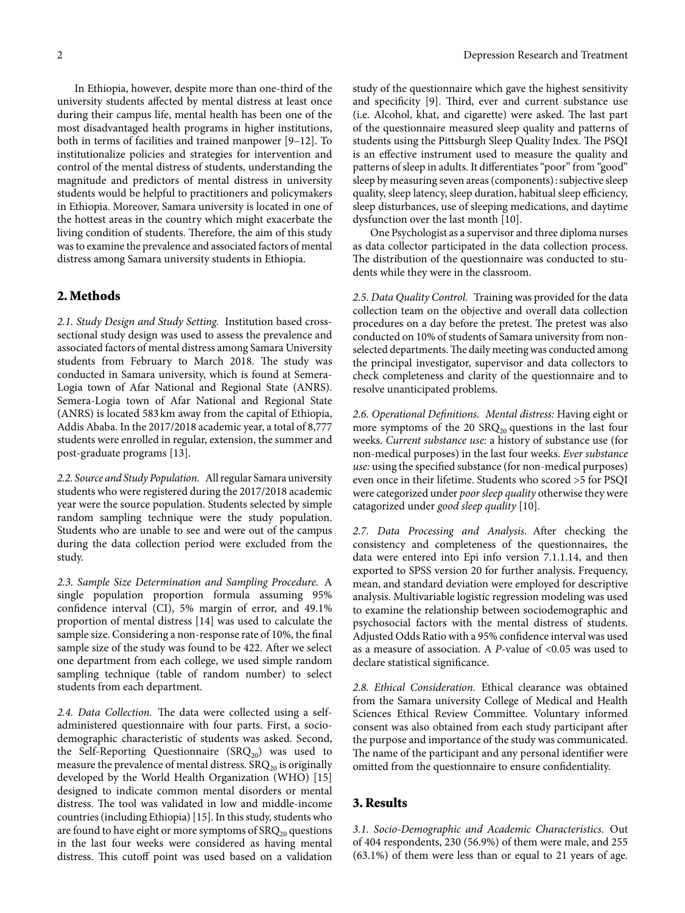In Ethiopia, however, despite more than one-third of the university students affected by mental distress at least once during their campus life, mental health has been one of the most disadvantaged health programs in higher institutions, both in terms of facilities and trained manpower [[9](#page-5-8)–[12](#page-5-9)]. To institutionalize policies and strategies for intervention and control of the mental distress of students, understanding the magnitude and predictors of mental distress in university students would be helpful to practitioners and policymakers in Ethiopia. Moreover, Samara university is located in one of the hottest areas in the country which might exacerbate the living condition of students. Therefore, the aim of this study was to examine the prevalence and associated factors of mental distress among Samara university students in Ethiopia.

#### 2. Methods

*2.1. Study Design and Study Setting.* Institution based crosssectional study design was used to assess the prevalence and associated factors of mental distress among Samara University students from February to March 2018. The study was conducted in Samara university, which is found at Semera-Logia town of Afar National and Regional State (ANRS). Semera-Logia town of Afar National and Regional State (ANRS) is located 583 km away from the capital of Ethiopia, Addis Ababa. In the 2017/2018 academic year, a total of 8,777 students were enrolled in regular, extension, the summer and post-graduate programs [[13](#page-5-10)].

*2.2. Source and Study Population.* All regular Samara university students who were registered during the 2017/2018 academic year were the source population. Students selected by simple random sampling technique were the study population. Students who are unable to see and were out of the campus during the data collection period were excluded from the study.

*2.3. Sample Size Determination and Sampling Procedure.* A single population proportion formula assuming 95% confidence interval (CI), 5% margin of error, and 49.1% proportion of mental distress [\[14](#page-5-11)] was used to calculate the sample size. Considering a non-response rate of 10%, the final sample size of the study was found to be 422. After we select one department from each college, we used simple random sampling technique (table of random number) to select students from each department.

2.4. Data Collection. The data were collected using a selfadministered questionnaire with four parts. First, a sociodemographic characteristic of students was asked. Second, the Self-Reporting Questionnaire  $(SRQ_{20})$  was used to measure the prevalence of mental distress.  $SRQ<sub>20</sub>$  is originally developed by the World Health Organization (WHO) [[15\]](#page-5-12) designed to indicate common mental disorders or mental distress. The tool was validated in low and middle-income countries (including Ethiopia) [\[15](#page-5-12)]. In this study, students who are found to have eight or more symptoms of  $SRQ_{20}$  questions in the last four weeks were considered as having mental distress. This cutoff point was used based on a validation study of the questionnaire which gave the highest sensitivity and specificity  $[9]$  $[9]$ . Third, ever and current substance use (i.e. Alcohol, khat, and cigarette) were asked. The last part of the questionnaire measured sleep quality and patterns of students using the Pittsburgh Sleep Quality Index. The PSQI is an effective instrument used to measure the quality and patterns of sleep in adults. It differentiates "poor" from "good" sleep by measuring seven areas (components): subjective sleep quality, sleep latency, sleep duration, habitual sleep efficiency, sleep disturbances, use of sleeping medications, and daytime dysfunction over the last month [\[10\]](#page-5-13).

One Psychologist as a supervisor and three diploma nurses as data collector participated in the data collection process. The distribution of the questionnaire was conducted to students while they were in the classroom.

*2.5. Data Quality Control.* Training was provided for the data collection team on the objective and overall data collection procedures on a day before the pretest. The pretest was also conducted on 10% of students of Samara university from nonselected departments. The daily meeting was conducted among the principal investigator, supervisor and data collectors to check completeness and clarity of the questionnaire and to resolve unanticipated problems.

*2.6. Operational Definitions. Mental distress:* Having eight or more symptoms of the 20  $\text{SRQ}_{20}$  questions in the last four weeks. *Current substance use:* a history of substance use (for non-medical purposes) in the last four weeks. *Ever substance use:* using the specified substance (for non-medical purposes) even once in their lifetime. Students who scored >5 for PSQI were categorized under *poor sleep quality* otherwise they were catagorized under *good sleep quality* [[10](#page-5-13)].

2.7. Data Processing and Analysis. After checking the consistency and completeness of the questionnaires, the data were entered into Epi info version 7.1.1.14, and then exported to SPSS version 20 for further analysis. Frequency, mean, and standard deviation were employed for descriptive analysis. Multivariable logistic regression modeling was used to examine the relationship between sociodemographic and psychosocial factors with the mental distress of students. Adjusted Odds Ratio with a 95% confidence interval was used as a measure of association. A *P*-value of <0.05 was used to declare statistical significance.

*2.8. Ethical Consideration.* Ethical clearance was obtained from the Samara university College of Medical and Health Sciences Ethical Review Committee. Voluntary informed consent was also obtained from each study participant after the purpose and importance of the study was communicated. The name of the participant and any personal identifier were omitted from the questionnaire to ensure confidentiality.

#### 3. Results

*3.1. Socio-Demographic and Academic Characteristics.* Out of 404 respondents, 230 (56.9%) of them were male, and 255 (63.1%) of them were less than or equal to 21 years of age.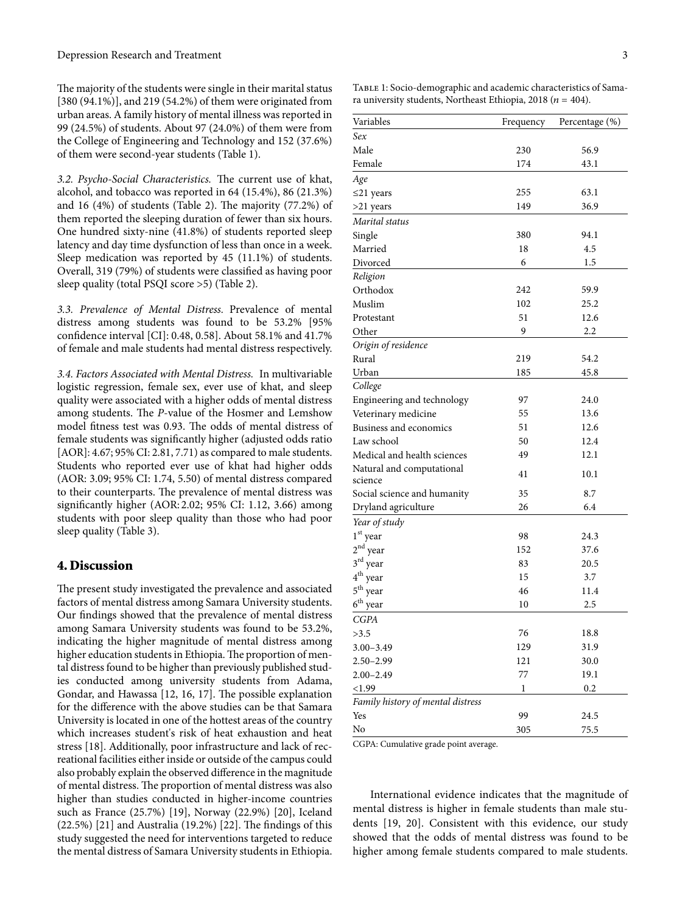The majority of the students were single in their marital status [380 (94.1%)], and 219 (54.2%) of them were originated from urban areas. A family history of mental illness was reported in 99 (24.5%) of students. About 97 (24.0%) of them were from the College of Engineering and Technology and 152 (37.6%) of them were second-year students (Table [1\)](#page-2-0).

3.2. Psycho-Social Characteristics. The current use of khat, alcohol, and tobacco was reported in 64 (15.4%), 86 (21.3%) and 16  $(4%)$  of students (Table [2](#page-3-0)). The majority  $(77.2%)$  of them reported the sleeping duration of fewer than six hours. One hundred sixty-nine (41.8%) of students reported sleep latency and day time dysfunction of less than once in a week. Sleep medication was reported by 45 (11.1%) of students. Overall, 319 (79%) of students were classified as having poor sleep quality (total PSQI score >5) (Table [2](#page-3-0)).

*3.3. Prevalence of Mental Distress.* Prevalence of mental distress among students was found to be 53.2% [95% confidence interval [CI]: 0.48, 0.58]. About 58.1% and 41.7% of female and male students had mental distress respectively.

*3.4. Factors Associated with Mental Distress.* In multivariable logistic regression, female sex, ever use of khat, and sleep quality were associated with a higher odds of mental distress among students. The P-value of the Hosmer and Lemshow model fitness test was 0.93. The odds of mental distress of female students was significantly higher (adjusted odds ratio [AOR]: 4.67; 95% CI: 2.81, 7.71) as compared to male students. Students who reported ever use of khat had higher odds (AOR: 3.09; 95% CI: 1.74, 5.50) of mental distress compared to their counterparts. The prevalence of mental distress was significantly higher (AOR: 2.02; 95% CI: 1.12, 3.66) among students with poor sleep quality than those who had poor sleep quality (Table [3\)](#page-4-0).

#### 4. Discussion

The present study investigated the prevalence and associated factors of mental distress among Samara University students. Our findings showed that the prevalence of mental distress among Samara University students was found to be 53.2%, indicating the higher magnitude of mental distress among higher education students in Ethiopia. The proportion of mental distress found to be higher than previously published studies conducted among university students from Adama, Gondar, and Hawassa  $[12, 16, 17]$  $[12, 16, 17]$  $[12, 16, 17]$  $[12, 16, 17]$  $[12, 16, 17]$ . The possible explanation for the difference with the above studies can be that Samara University is located in one of the hottest areas of the country which increases student's risk of heat exhaustion and heat stress [[18](#page-5-16)]. Additionally, poor infrastructure and lack of recreational facilities either inside or outside of the campus could also probably explain the observed difference in the magnitude of mental distress. The proportion of mental distress was also higher than studies conducted in higher-income countries such as France (25.7%) [\[19](#page-5-17)], Norway (22.9%) [\[20\]](#page-5-18), Iceland  $(22.5%)$  $(22.5%)$  $(22.5%)$  [\[21\]](#page-5-19) and Australia (19.2%) [22]. The findings of this study suggested the need for interventions targeted to reduce the mental distress of Samara University students in Ethiopia.

<span id="page-2-0"></span>Table 1: Socio-demographic and academic characteristics of Samara university students, Northeast Ethiopia, 2018 ( $n = 404$ ).

| Variables                         | Frequency | Percentage (%) |
|-----------------------------------|-----------|----------------|
| Sex                               |           |                |
| Male                              | 230       | 56.9           |
| Female                            | 174       | 43.1           |
| Age                               |           |                |
| $\leq$ 21 years                   | 255       | 63.1           |
| >21 years                         | 149       | 36.9           |
| Marital status                    |           |                |
| Single                            | 380       | 94.1           |
| Married                           | 18        | 4.5            |
| Divorced                          | 6         | 1.5            |
| Religion                          |           |                |
| Orthodox                          | 242       | 59.9           |
| Muslim                            | 102       | 25.2           |
| Protestant                        | 51        | 12.6           |
| Other                             | 9         | 2.2            |
| Origin of residence               |           |                |
| Rural                             | 219       | 54.2           |
| Urban                             | 185       | 45.8           |
| College                           |           |                |
| Engineering and technology        | 97        | 24.0           |
| Veterinary medicine               | 55        | 13.6           |
| Business and economics            | 51        | 12.6           |
| Law school                        | 50        | 12.4           |
| Medical and health sciences       | 49        | 12.1           |
| Natural and computational         | 41        | 10.1           |
| science                           |           |                |
| Social science and humanity       | 35        | 8.7            |
| Dryland agriculture               | 26        | 6.4            |
| Year of study                     |           |                |
| 1 <sup>st</sup> year              | 98        | 24.3           |
| $2nd$ year                        | 152       | 37.6           |
| $3rd$ year                        | 83        | 20.5           |
| $4^{\text{th}}$ year              | 15        | 3.7            |
| $5^{\text{th}}$<br>year           | 46        | 11.4           |
| $6^{\rm th}$<br>year              | 10        | 2.5            |
| CGPA                              |           |                |
| >3.5                              | 76        | 18.8           |
| $3.00 - 3.49$                     | 129       | 31.9           |
| $2.50 - 2.99$                     | 121       | 30.0           |
| $2.00 - 2.49$                     | 77        | 19.1           |
| < 1.99                            | 1         | 0.2            |
| Family history of mental distress |           |                |
| Yes                               | 99        | 24.5           |
| No                                | 305       | 75.5           |

CGPA: Cumulative grade point average.

International evidence indicates that the magnitude of mental distress is higher in female students than male students [[19,](#page-5-17) [20\]](#page-5-18). Consistent with this evidence, our study showed that the odds of mental distress was found to be higher among female students compared to male students.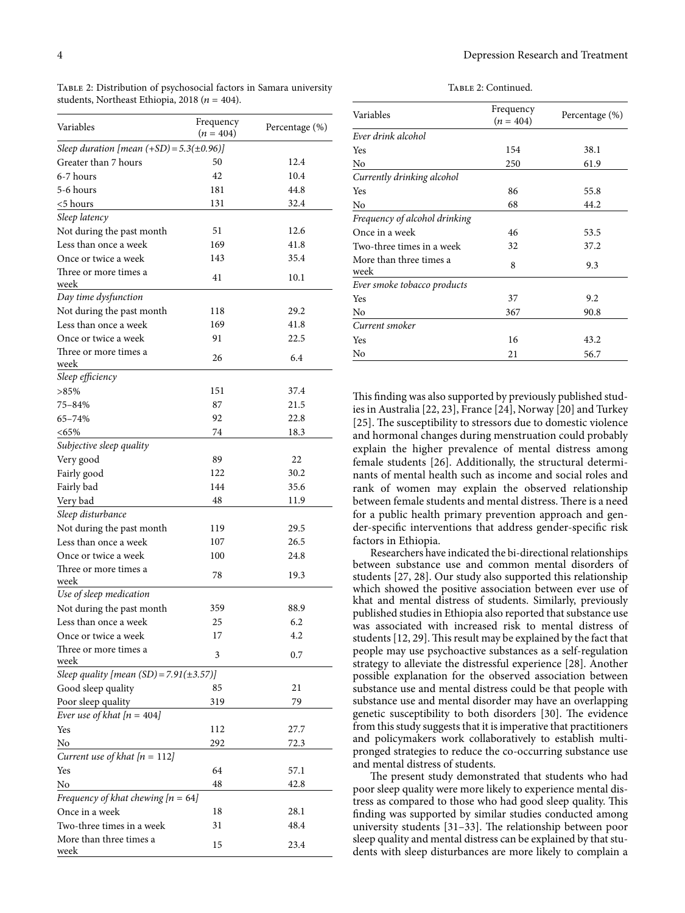Table 2: Continued.

| Variables                                      | Frequency   | Percentage (%) |
|------------------------------------------------|-------------|----------------|
| Sleep duration [mean $(+SD) = 5.3(\pm 0.96)$ ] | $(n = 404)$ |                |
| Greater than 7 hours                           | 50          | 12.4           |
| 6-7 hours                                      | 42          | 10.4           |
| 5-6 hours                                      | 181         | 44.8           |
|                                                | 131         | 32.4           |
| <5 hours                                       |             |                |
| Sleep latency                                  |             | 12.6           |
| Not during the past month                      | 51          | 41.8           |
| Less than once a week                          | 169         |                |
| Once or twice a week                           | 143         | 35.4           |
| Three or more times a<br>week                  | 41          | 10.1           |
| Day time dysfunction                           |             |                |
| Not during the past month                      | 118         | 29.2           |
| Less than once a week                          | 169         | 41.8           |
| Once or twice a week                           | 91          | 22.5           |
| Three or more times a                          | 26          | 6.4            |
| week                                           |             |                |
| Sleep efficiency                               |             |                |
| $>85\%$                                        | 151         | 37.4           |
| 75–84%                                         | 87          | 21.5           |
| 65-74%                                         | 92          | 22.8           |
| $<65\%$                                        | 74          | 18.3           |
| Subjective sleep quality                       |             |                |
| Very good                                      | 89          | 22             |
| Fairly good                                    | 122         | 30.2           |
| Fairly bad                                     | 144         | 35.6           |
| Very bad                                       | 48          | 11.9           |
| Sleep disturbance                              |             |                |
| Not during the past month                      | 119         | 29.5           |
| Less than once a week                          | 107         | 26.5           |
| Once or twice a week                           | 100         | 24.8           |
| Three or more times a                          |             |                |
| week                                           | 78          | 19.3           |
| Use of sleep medication                        |             |                |
| Not during the past month                      | 359         | 88.9           |
| Less than once a week                          | 25          | 6.2            |
| Once or twice a week                           | 17          | 4.2            |
| Three or more times a<br>week                  | 3           | 0.7            |
| Sleep quality [mean (SD) = 7.91( $\pm$ 3.57)]  |             |                |
| Good sleep quality                             | 85          | 21             |
| Poor sleep quality                             | 319         | 79             |
| Ever use of khat $[n = 404]$                   |             |                |
| Yes                                            | 112         | 27.7           |
| No                                             | 292         | 72.3           |
| Current use of khat $[n = 112]$                |             |                |
| Yes                                            | 64          |                |
|                                                |             | 57.1           |
| No                                             | 48          | 42.8           |
| Frequency of khat chewing $[n = 64]$           |             |                |
| Once in a week                                 | 18          | 28.1           |
| Two-three times in a week                      | 31          | 48.4           |
| More than three times a<br>week                | 15          | 23.4           |

<span id="page-3-0"></span>Table 2: Distribution of psychosocial factors in Samara university

students, Northeast Ethiopia, 2018 ( $n = 404$ ).

| Variables                       | Frequency<br>$(n = 404)$ | Percentage (%) |
|---------------------------------|--------------------------|----------------|
| Ever drink alcohol              |                          |                |
| Yes                             | 154                      | 38.1           |
| No                              | 250                      | 61.9           |
| Currently drinking alcohol      |                          |                |
| Yes                             | 86                       | 55.8           |
| No                              | 68                       | 44.2           |
| Frequency of alcohol drinking   |                          |                |
| Once in a week                  | 46                       | 53.5           |
| Two-three times in a week       | 32                       | 37.2           |
| More than three times a<br>week | 8                        | 9.3            |
| Ever smoke tobacco products     |                          |                |
| Yes                             | 37                       | 9.2            |
| No                              | 367                      | 90.8           |
| Current smoker                  |                          |                |
| Yes                             | 16                       | 43.2           |
| No                              | 21                       | 56.7           |

This finding was also supported by previously published studies in Australia [\[22,](#page-5-20) [23](#page-5-21)], France [\[24\]](#page-5-22), Norway [\[20](#page-5-18)] and Turkey [[25](#page-5-23)]. The susceptibility to stressors due to domestic violence and hormonal changes during menstruation could probably explain the higher prevalence of mental distress among female students [\[26\]](#page-5-24). Additionally, the structural determinants of mental health such as income and social roles and rank of women may explain the observed relationship between female students and mental distress. There is a need for a public health primary prevention approach and gender-specific interventions that address gender-specific risk factors in Ethiopia.

Researchers have indicated the bi-directional relationships between substance use and common mental disorders of students [\[27,](#page-5-25) [28](#page-5-26)]. Our study also supported this relationship which showed the positive association between ever use of khat and mental distress of students. Similarly, previously published studies in Ethiopia also reported that substance use was associated with increased risk to mental distress of students [[12](#page-5-9), [29\]](#page-5-27). This result may be explained by the fact that people may use psychoactive substances as a self-regulation strategy to alleviate the distressful experience [\[28\]](#page-5-26). Another possible explanation for the observed association between substance use and mental distress could be that people with substance use and mental disorder may have an overlapping genetic susceptibility to both disorders [[30](#page-6-0)]. The evidence from this study suggests that it is imperative that practitioners and policymakers work collaboratively to establish multipronged strategies to reduce the co-occurring substance use and mental distress of students.

The present study demonstrated that students who had poor sleep quality were more likely to experience mental distress as compared to those who had good sleep quality. This finding was supported by similar studies conducted among university students  $[31-33]$  $[31-33]$  $[31-33]$ . The relationship between poor sleep quality and mental distress can be explained by that students with sleep disturbances are more likely to complain a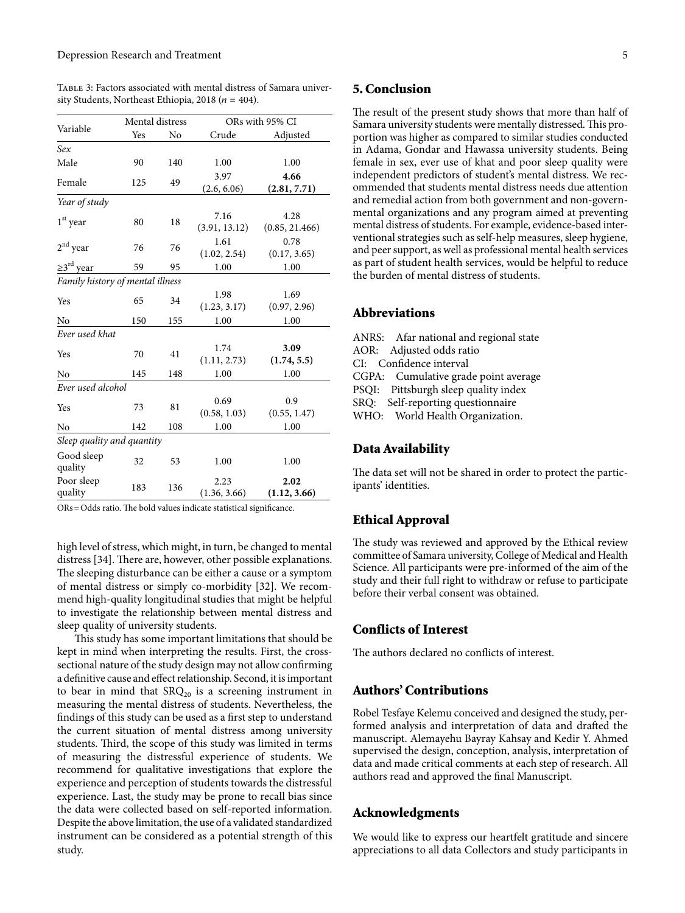<span id="page-4-0"></span>Table 3: Factors associated with mental distress of Samara university Students, Northeast Ethiopia, 2018 ( $n = 404$ ).

| Variable                         | Mental distress |     | ORs with 95% CI       |                        |  |
|----------------------------------|-----------------|-----|-----------------------|------------------------|--|
|                                  | Yes             | No  | Crude                 | Adjusted               |  |
| Sex                              |                 |     |                       |                        |  |
| Male                             | 90              | 140 | 1.00                  | 1.00                   |  |
| Female                           | 125             | 49  | 3.97                  | 4.66                   |  |
|                                  |                 |     | (2.6, 6.06)           | (2.81, 7.71)           |  |
| Year of study                    |                 |     |                       |                        |  |
| $1st$ year                       | 80              | 18  | 7.16<br>(3.91, 13.12) | 4.28<br>(0.85, 21.466) |  |
| $2nd$ year                       | 76              | 76  | 1.61<br>(1.02, 2.54)  | 0.78<br>(0.17, 3.65)   |  |
| $\geq 3^{\text{rd}}$ year        | 59              | 95  | 1.00                  | 1.00                   |  |
| Family history of mental illness |                 |     |                       |                        |  |
| Yes                              | 65              | 34  | 1.98<br>(1.23, 3.17)  | 1.69<br>(0.97, 2.96)   |  |
| No                               | 150             | 155 | 1.00                  | 1.00                   |  |
| Ever used khat                   |                 |     |                       |                        |  |
| Yes                              | 70              | 41  | 1.74<br>(1.11, 2.73)  | 3.09<br>(1.74, 5.5)    |  |
| No                               | 145             | 148 | 1.00                  | 1.00                   |  |
| Ever used alcohol                |                 |     |                       |                        |  |
| Yes                              | 73              | 81  | 0.69<br>(0.58, 1.03)  | 0.9<br>(0.55, 1.47)    |  |
| No                               | 142             | 108 | 1.00                  | 1.00                   |  |
| Sleep quality and quantity       |                 |     |                       |                        |  |
| Good sleep<br>quality            | 32              | 53  | 1.00                  | 1.00                   |  |
| Poor sleep<br>quality            | 183             | 136 | 2.23<br>(1.36, 3.66)  | 2.02<br>(1.12, 3.66)   |  |

 $ORs = Odds$  ratio. The bold values indicate statistical significance.

high level of stress, which might, in turn, be changed to mental distress [\[34\]](#page-6-3). There are, however, other possible explanations. The sleeping disturbance can be either a cause or a symptom of mental distress or simply co-morbidity [\[32\]](#page-6-4). We recommend high-quality longitudinal studies that might be helpful to investigate the relationship between mental distress and sleep quality of university students.

This study has some important limitations that should be kept in mind when interpreting the results. First, the crosssectional nature of the study design may not allow confirming a definitive cause and effect relationship. Second, it is important to bear in mind that  $S RQ_{20}$  is a screening instrument in measuring the mental distress of students. Nevertheless, the findings of this study can be used as a first step to understand the current situation of mental distress among university students. Third, the scope of this study was limited in terms of measuring the distressful experience of students. We recommend for qualitative investigations that explore the experience and perception of students towards the distressful experience. Last, the study may be prone to recall bias since the data were collected based on self-reported information. Despite the above limitation, the use of a validated standardized instrument can be considered as a potential strength of this study.

#### 5. Conclusion

The result of the present study shows that more than half of Samara university students were mentally distressed. This proportion was higher as compared to similar studies conducted in Adama, Gondar and Hawassa university students. Being female in sex, ever use of khat and poor sleep quality were independent predictors of student's mental distress. We recommended that students mental distress needs due attention and remedial action from both government and non-governmental organizations and any program aimed at preventing mental distress of students. For example, evidence-based interventional strategies such as self-help measures, sleep hygiene, and peer support, as well as professional mental health services as part of student health services, would be helpful to reduce the burden of mental distress of students.

#### Abbreviations

ANRS: Afar national and regional state AOR: Adjusted odds ratio CI: Confidence interval CGPA: Cumulative grade point average PSQI: Pittsburgh sleep quality index SRQ: Self-reporting questionnaire WHO: World Health Organization.

#### Data Availability

The data set will not be shared in order to protect the participants' identities.

#### Ethical Approval

The study was reviewed and approved by the Ethical review committee of Samara university, College of Medical and Health Science. All participants were pre-informed of the aim of the study and their full right to withdraw or refuse to participate before their verbal consent was obtained.

#### Conflicts of Interest

The authors declared no conflicts of interest.

#### Authors' Contributions

Robel Tesfaye Kelemu conceived and designed the study, performed analysis and interpretation of data and drafted the manuscript. Alemayehu Bayray Kahsay and Kedir Y. Ahmed supervised the design, conception, analysis, interpretation of data and made critical comments at each step of research. All authors read and approved the final Manuscript.

#### Acknowledgments

We would like to express our heartfelt gratitude and sincere appreciations to all data Collectors and study participants in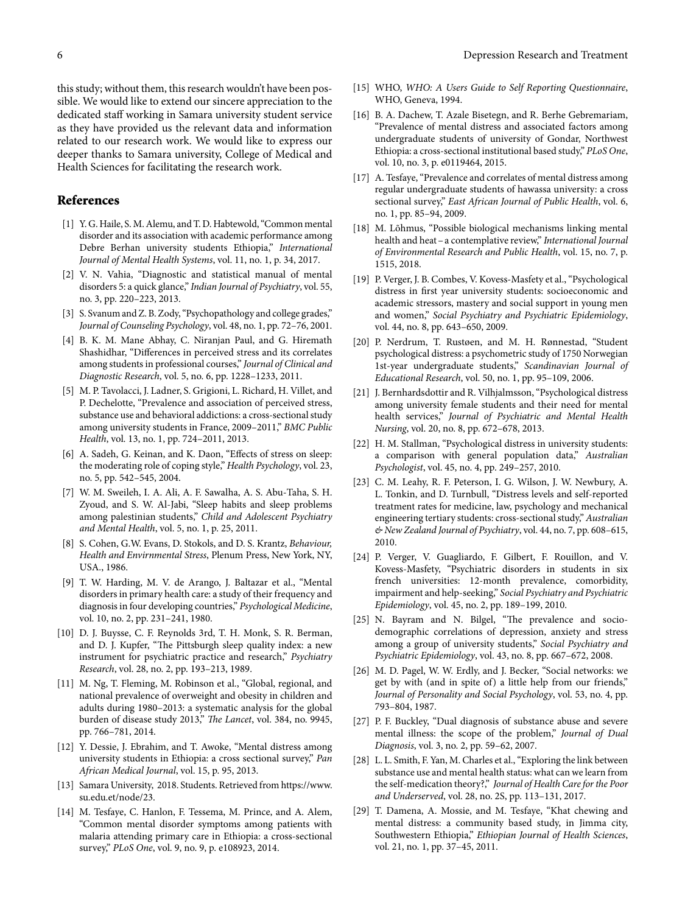this study; without them, this research wouldn't have been possible. We would like to extend our sincere appreciation to the dedicated staff working in Samara university student service as they have provided us the relevant data and information related to our research work. We would like to express our deeper thanks to Samara university, College of Medical and Health Sciences for facilitating the research work.

#### References

- <span id="page-5-0"></span>[1] Y. G. Haile, S. M. Alemu, and T. D. Habtewold, "Common mental disorder and its association with academic performance among Debre Berhan university students Ethiopia," *International Journal of Mental Health Systems*, vol. 11, no. 1, p. 34, 2017.
- <span id="page-5-1"></span>[2] V. N. Vahia, "Diagnostic and statistical manual of mental disorders 5: a quick glance," *Indian Journal of Psychiatry*, vol. 55, no. 3, pp. 220–223, 2013.
- <span id="page-5-2"></span>[3] S. Svanum and Z. B. Zody, "Psychopathology and college grades," *Journal of Counseling Psychology*, vol. 48, no. 1, pp. 72–76, 2001.
- <span id="page-5-3"></span>[4] B. K. M. Mane Abhay, C. Niranjan Paul, and G. Hiremath Shashidhar, "Differences in perceived stress and its correlates among students in professional courses," *Journal of Clinical and Diagnostic Research*, vol. 5, no. 6, pp. 1228–1233, 2011.
- <span id="page-5-4"></span>[5] M. P. Tavolacci, J. Ladner, S. Grigioni, L. Richard, H. Villet, and P. Dechelotte, "Prevalence and association of perceived stress, substance use and behavioral addictions: a cross-sectional study among university students in France, 2009–2011," *BMC Public Health*, vol. 13, no. 1, pp. 724–2011, 2013.
- <span id="page-5-5"></span>[6] A. Sadeh, G. Keinan, and K. Daon, "Effects of stress on sleep: the moderating role of coping style," *Health Psychology*, vol. 23, no. 5, pp. 542–545, 2004.
- <span id="page-5-6"></span>[7] W. M. Sweileh, I. A. Ali, A. F. Sawalha, A. S. Abu-Taha, S. H. Zyoud, and S. W. Al-Jabi, "Sleep habits and sleep problems among palestinian students," *Child and Adolescent Psychiatry and Mental Health*, vol. 5, no. 1, p. 25, 2011.
- <span id="page-5-7"></span>[8] S. Cohen, G.W. Evans, D. Stokols, and D. S. Krantz, *Behaviour, Health and Envirnmental Stress*, Plenum Press, New York, NY, USA., 1986.
- <span id="page-5-8"></span>[9] T. W. Harding, M. V. de Arango, J. Baltazar et al., "Mental disorders in primary health care: a study of their frequency and diagnosis in four developing countries," *Psychological Medicine*, vol. 10, no. 2, pp. 231–241, 1980.
- <span id="page-5-13"></span>[10] D. J. Buysse, C. F. Reynolds 3rd, T. H. Monk, S. R. Berman, and D. J. Kupfer, "The Pittsburgh sleep quality index: a new instrument for psychiatric practice and research," *Psychiatry Research*, vol. 28, no. 2, pp. 193–213, 1989.
- [11] M. Ng, T. Fleming, M. Robinson et al., "Global, regional, and national prevalence of overweight and obesity in children and adults during 1980–2013: a systematic analysis for the global burden of disease study 2013," *The Lancet*, vol. 384, no. 9945, pp. 766–781, 2014.
- <span id="page-5-9"></span>[12] Y. Dessie, J. Ebrahim, and T. Awoke, "Mental distress among university students in Ethiopia: a cross sectional survey," *Pan African Medical Journal*, vol. 15, p. 95, 2013.
- <span id="page-5-10"></span>[13] Samara University, 2018. Students. Retrieved from [https://www.](https://www.su.edu.et/node/23) [su.edu.et/node/23.](https://www.su.edu.et/node/23)
- <span id="page-5-11"></span>[14] M. Tesfaye, C. Hanlon, F. Tessema, M. Prince, and A. Alem, "Common mental disorder symptoms among patients with malaria attending primary care in Ethiopia: a cross-sectional survey," *PLoS One*, vol. 9, no. 9, p. e108923, 2014.
- <span id="page-5-12"></span>[15] WHO, *WHO: A Users Guide to Self Reporting Questionnaire*, WHO, Geneva, 1994.
- <span id="page-5-14"></span>[16] B. A. Dachew, T. Azale Bisetegn, and R. Berhe Gebremariam, "Prevalence of mental distress and associated factors among undergraduate students of university of Gondar, Northwest Ethiopia: a cross-sectional institutional based study," *PLoS One*, vol. 10, no. 3, p. e0119464, 2015.
- <span id="page-5-15"></span>[17] A. Tesfaye, "Prevalence and correlates of mental distress among regular undergraduate students of hawassa university: a cross sectional survey," *East African Journal of Public Health*, vol. 6, no. 1, pp. 85–94, 2009.
- <span id="page-5-16"></span>[18] M. Lõhmus, "Possible biological mechanisms linking mental health and heat–a contemplative review," *International Journal of Environmental Research and Public Health*, vol. 15, no. 7, p. 1515, 2018.
- <span id="page-5-17"></span>[19] P. Verger, J. B. Combes, V. Kovess-Masfety et al., "Psychological distress in first year university students: socioeconomic and academic stressors, mastery and social support in young men and women," *Social Psychiatry and Psychiatric Epidemiology*, vol. 44, no. 8, pp. 643–650, 2009.
- <span id="page-5-18"></span>[20] P. Nerdrum, T. Rustøen, and M. H. Rønnestad, "Student psychological distress: a psychometric study of 1750 Norwegian 1st-year undergraduate students," *Scandinavian Journal of Educational Research*, vol. 50, no. 1, pp. 95–109, 2006.
- <span id="page-5-19"></span>[21] J. Bernhardsdottir and R. Vilhjalmsson, "Psychological distress among university female students and their need for mental health services," *Journal of Psychiatric and Mental Health Nursing*, vol. 20, no. 8, pp. 672–678, 2013.
- <span id="page-5-20"></span>[22] H. M. Stallman, "Psychological distress in university students: a comparison with general population data," *Australian Psychologist*, vol. 45, no. 4, pp. 249–257, 2010.
- <span id="page-5-21"></span>[23] C. M. Leahy, R. F. Peterson, I. G. Wilson, J. W. Newbury, A. L. Tonkin, and D. Turnbull, "Distress levels and self-reported treatment rates for medicine, law, psychology and mechanical engineering tertiary students: cross-sectional study," *Australian & New Zealand Journal of Psychiatry*, vol. 44, no. 7, pp. 608–615, 2010.
- <span id="page-5-22"></span>[24] P. Verger, V. Guagliardo, F. Gilbert, F. Rouillon, and V. Kovess-Masfety, "Psychiatric disorders in students in six french universities: 12-month prevalence, comorbidity, impairment and help-seeking," *Social Psychiatry and Psychiatric Epidemiology*, vol. 45, no. 2, pp. 189–199, 2010.
- <span id="page-5-23"></span>[25] N. Bayram and N. Bilgel, "The prevalence and sociodemographic correlations of depression, anxiety and stress among a group of university students," *Social Psychiatry and Psychiatric Epidemiology*, vol. 43, no. 8, pp. 667–672, 2008.
- <span id="page-5-24"></span>[26] M. D. Pagel, W. W. Erdly, and J. Becker, "Social networks: we get by with (and in spite of) a little help from our friends," *Journal of Personality and Social Psychology*, vol. 53, no. 4, pp. 793–804, 1987.
- <span id="page-5-25"></span>[27] P. F. Buckley, "Dual diagnosis of substance abuse and severe mental illness: the scope of the problem," *Journal of Dual Diagnosis*, vol. 3, no. 2, pp. 59–62, 2007.
- <span id="page-5-26"></span>[28] L. L. Smith, F. Yan, M. Charles et al., "Exploring the link between substance use and mental health status: what can we learn from the self-medication theory?," *Journal of Health Care for the Poor and Underserved*, vol. 28, no. 2S, pp. 113–131, 2017.
- <span id="page-5-27"></span>[29] T. Damena, A. Mossie, and M. Tesfaye, "Khat chewing and mental distress: a community based study, in Jimma city, Southwestern Ethiopia," *Ethiopian Journal of Health Sciences*, vol. 21, no. 1, pp. 37–45, 2011.